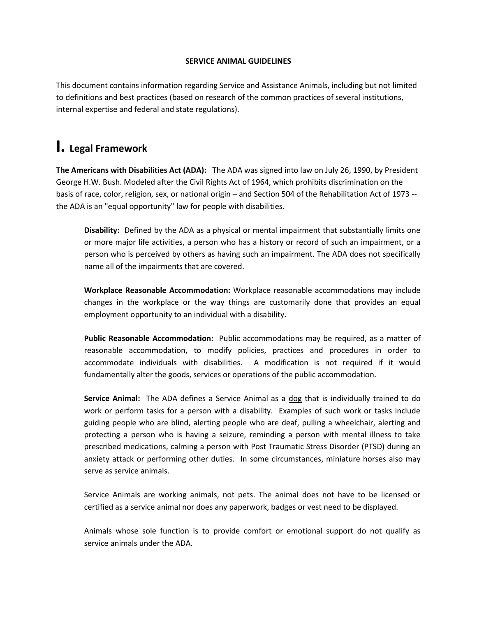#### **SERVICE ANIMAL GUIDELINES**

This document contains information regarding Service and Assistance Animals, including but not limited to definitions and best practices (based on research of the common practices of several institutions, internal expertise and federal and state regulations).

# **I. Legal Framework**

**The Americans with Disabilities Act (ADA):** The ADA was signed into law on July 26, 1990, by President George H.W. Bush. Modeled after the Civil Rights Act of 1964, which prohibits discrimination on the basis of race, color, religion, sex, or national origin – and Section 504 of the Rehabilitation Act of 1973 - the ADA is an "equal opportunity" law for people with disabilities.

**Disability:** Defined by the ADA as a physical or mental impairment that substantially limits one or more major life activities, a person who has a history or record of such an impairment, or a person who is perceived by others as having such an impairment. The ADA does not specifically name all of the impairments that are covered.

**Workplace Reasonable Accommodation:** Workplace reasonable accommodations may include changes in the workplace or the way things are customarily done that provides an equal employment opportunity to an individual with a disability.

**Public Reasonable Accommodation:** Public accommodations may be required, as a matter of reasonable accommodation, to modify policies, practices and procedures in order to accommodate individuals with disabilities. A modification is not required if it would fundamentally alter the goods, services or operations of the public accommodation.

**Service Animal:** The ADA defines a Service Animal as a dog that is individually trained to do work or perform tasks for a person with a disability. Examples of such work or tasks include guiding people who are blind, alerting people who are deaf, pulling a wheelchair, alerting and protecting a person who is having a seizure, reminding a person with mental illness to take prescribed medications, calming a person with Post Traumatic Stress Disorder (PTSD) during an anxiety attack or performing other duties. In some circumstances, miniature horses also may serve as service animals.

Service Animals are working animals, not pets. The animal does not have to be licensed or certified as a service animal nor does any paperwork, badges or vest need to be displayed.

Animals whose sole function is to provide comfort or emotional support do not qualify as service animals under the ADA.